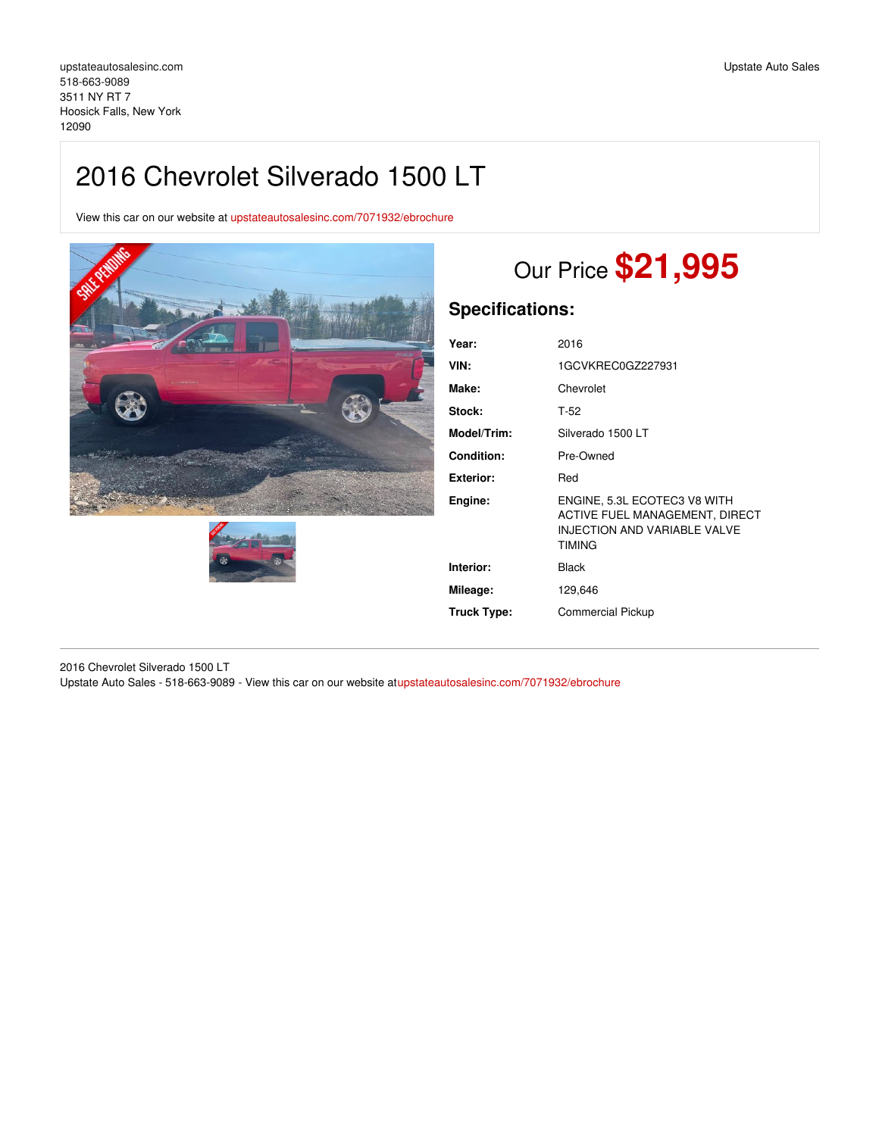## 2016 Chevrolet Silverado 1500 LT

View this car on our website at [upstateautosalesinc.com/7071932/ebrochure](https://upstateautosalesinc.com/vehicle/7071932/2016-chevrolet-silverado-1500-lt-hoosick-falls-new-york-12090/7071932/ebrochure)





# Our Price **\$21,995**

### **Specifications:**

| Year:              | 2016                                                                                                                   |
|--------------------|------------------------------------------------------------------------------------------------------------------------|
| VIN:               | 1GCVKREC0GZ227931                                                                                                      |
| Make:              | Chevrolet                                                                                                              |
| Stock:             | T-52                                                                                                                   |
| Model/Trim:        | Silverado 1500 LT                                                                                                      |
| <b>Condition:</b>  | Pre-Owned                                                                                                              |
| <b>Exterior:</b>   | Red                                                                                                                    |
| Engine:            | ENGINE, 5.3L ECOTEC3 V8 WITH<br>ACTIVE FUEL MANAGEMENT, DIRECT<br><b>INJECTION AND VARIABLE VALVE</b><br><b>TIMING</b> |
| Interior:          | Black                                                                                                                  |
| Mileage:           | 129,646                                                                                                                |
| <b>Truck Type:</b> | <b>Commercial Pickup</b>                                                                                               |

2016 Chevrolet Silverado 1500 LT Upstate Auto Sales - 518-663-9089 - View this car on our website a[tupstateautosalesinc.com/7071932/ebrochure](https://upstateautosalesinc.com/vehicle/7071932/2016-chevrolet-silverado-1500-lt-hoosick-falls-new-york-12090/7071932/ebrochure)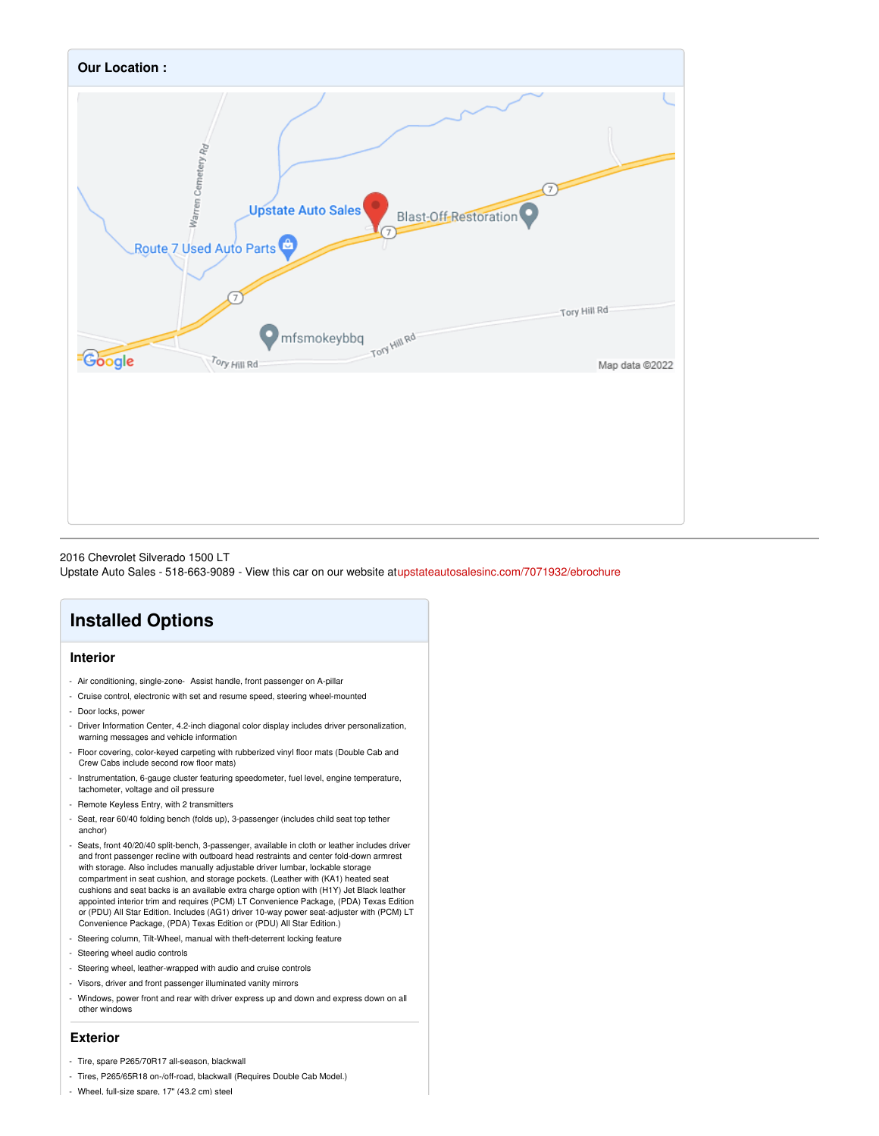

2016 Chevrolet Silverado 1500 LT

Upstate Auto Sales - 518-663-9089 - View this car on our website a[tupstateautosalesinc.com/7071932/ebrochure](https://upstateautosalesinc.com/vehicle/7071932/2016-chevrolet-silverado-1500-lt-hoosick-falls-new-york-12090/7071932/ebrochure)

## **Installed Options**

### **Interior**

- Air conditioning, single-zone- Assist handle, front passenger on A-pillar
- Cruise control, electronic with set and resume speed, steering wheel-mounted
- Door locks, power
- Driver Information Center, 4.2-inch diagonal color display includes driver personalization, warning messages and vehicle information
- Floor covering, color-keyed carpeting with rubberized vinyl floor mats (Double Cab and Crew Cabs include second row floor mats)
- Instrumentation, 6-gauge cluster featuring speedometer, fuel level, engine temperature, tachometer, voltage and oil pressure
- Remote Keyless Entry, with 2 transmitters
- Seat, rear 60/40 folding bench (folds up), 3-passenger (includes child seat top tether anchor)
- Seats, front 40/20/40 split-bench, 3-passenger, available in cloth or leather includes driver and front passenger recline with outboard head restraints and center fold-down armrest with storage. Also includes manually adjustable driver lumbar, lockable storage compartment in seat cushion, and storage pockets. (Leather with (KA1) heated seat cushions and seat backs is an available extra charge option with (H1Y) Jet Black leather appointed interior trim and requires (PCM) LT Convenience Package, (PDA) Texas Edition or (PDU) All Star Edition. Includes (AG1) driver 10-way power seat-adjuster with (PCM) LT Convenience Package, (PDA) Texas Edition or (PDU) All Star Edition.)
- Steering column, Tilt-Wheel, manual with theft-deterrent locking feature
- Steering wheel audio controls
- Steering wheel, leather-wrapped with audio and cruise controls
- Visors, driver and front passenger illuminated vanity mirrors
- Windows, power front and rear with driver express up and down and express down on all other windows

#### **Exterior**

- Tire, spare P265/70R17 all-season, blackwall
- Tires, P265/65R18 on-/off-road, blackwall (Requires Double Cab Model.)
- Wheel, full-size spare, 17" (43.2 cm) steel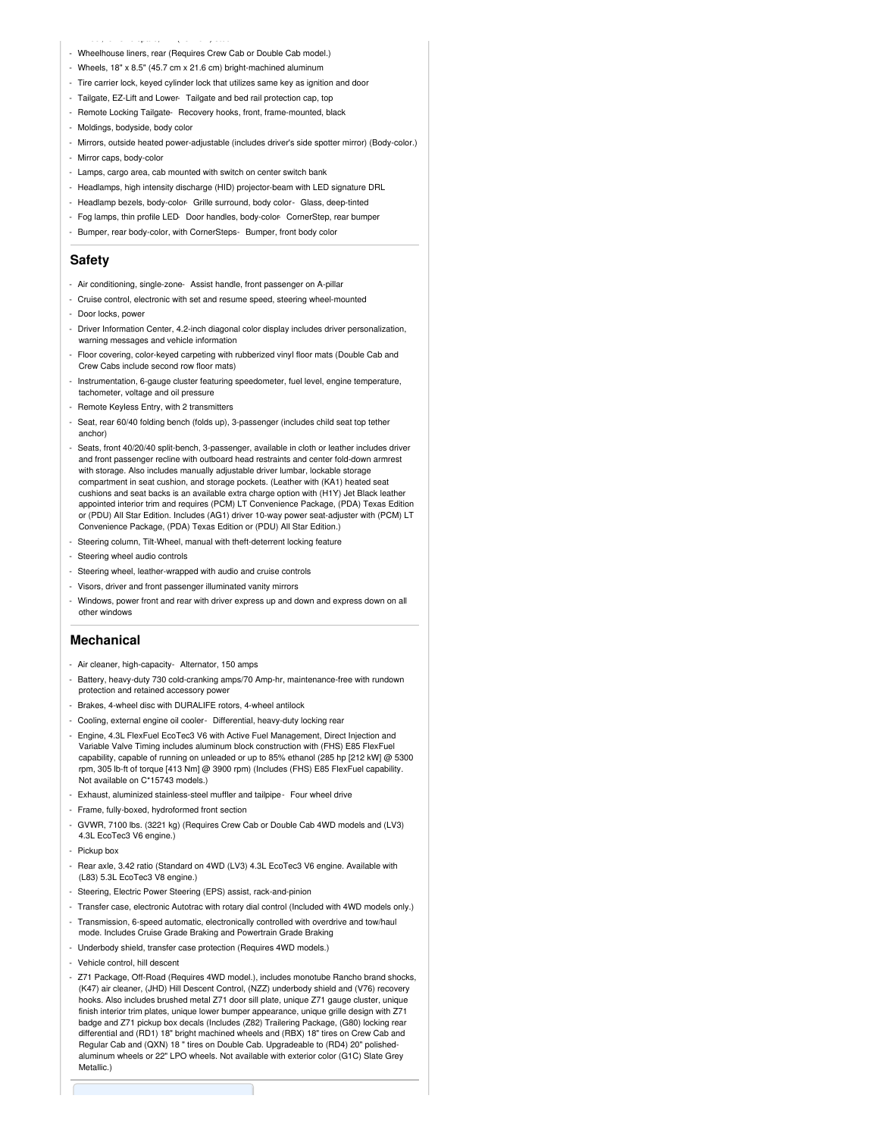- Wheelhouse liners, rear (Requires Crew Cab or Double Cab model.)

- Wheel, full-size spare, 17" (43.2 cm) steel

- Wheels, 18" x 8.5" (45.7 cm x 21.6 cm) bright-machined aluminum
- Tire carrier lock, keyed cylinder lock that utilizes same key as ignition and door
- Tailgate, EZ-Lift and Lower- Tailgate and bed rail protection cap, top
- Remote Locking Tailgate- Recovery hooks, front, frame-mounted, black
- Moldings, bodyside, body color
- Mirrors, outside heated power-adjustable (includes driver's side spotter mirror) (Body-color.)
- Mirror caps, body-color
- Lamps, cargo area, cab mounted with switch on center switch bank
- Headlamps, high intensity discharge (HID) projector-beam with LED signature DRL
- Headlamp bezels, body-color- Grille surround, body color- Glass, deep-tinted
- Fog lamps, thin profile LED- Door handles, body-color- CornerStep, rear bumper
- Bumper, rear body-color, with CornerSteps- Bumper, front body color

#### **Safety**

- Air conditioning, single-zone- Assist handle, front passenger on A-pillar
- Cruise control, electronic with set and resume speed, steering wheel-mounted
- Door locks, power
- Driver Information Center, 4.2-inch diagonal color display includes driver personalization, warning messages and vehicle information
- Floor covering, color-keyed carpeting with rubberized vinyl floor mats (Double Cab and Crew Cabs include second row floor mats)
- Instrumentation, 6-gauge cluster featuring speedometer, fuel level, engine temperature, tachometer, voltage and oil pressure
- Remote Keyless Entry, with 2 transmitters
- Seat, rear 60/40 folding bench (folds up), 3-passenger (includes child seat top tether anchor)
- Seats, front 40/20/40 split-bench, 3-passenger, available in cloth or leather includes driver and front passenger recline with outboard head restraints and center fold-down armrest with storage. Also includes manually adjustable driver lumbar, lockable storage compartment in seat cushion, and storage pockets. (Leather with (KA1) heated seat cushions and seat backs is an available extra charge option with (H1Y) Jet Black leather appointed interior trim and requires (PCM) LT Convenience Package, (PDA) Texas Edition or (PDU) All Star Edition. Includes (AG1) driver 10-way power seat-adjuster with (PCM) LT Convenience Package, (PDA) Texas Edition or (PDU) All Star Edition.)
- Steering column, Tilt-Wheel, manual with theft-deterrent locking feature
- Steering wheel audio controls
- Steering wheel, leather-wrapped with audio and cruise controls
- Visors, driver and front passenger illuminated vanity mirrors
- Windows, power front and rear with driver express up and down and express down on all other windows

#### **Mechanical**

- Air cleaner, high-capacity- Alternator, 150 amps
- Battery, heavy-duty 730 cold-cranking amps/70 Amp-hr, maintenance-free with rundown protection and retained accessory power
- Brakes, 4-wheel disc with DURALIFE rotors, 4-wheel antilock
- Cooling, external engine oil cooler- Differential, heavy-duty locking rear
- Engine, 4.3L FlexFuel EcoTec3 V6 with Active Fuel Management, Direct Injection and Variable Valve Timing includes aluminum block construction with (FHS) E85 FlexFuel capability, capable of running on unleaded or up to 85% ethanol (285 hp [212 kW] @ 5300 rpm, 305 lb-ft of torque [413 Nm] @ 3900 rpm) (Includes (FHS) E85 FlexFuel capability. Not available on C\*15743 models.)
- Exhaust, aluminized stainless-steel muffler and tailpipe- Four wheel drive
- Frame, fully-boxed, hydroformed front section
- GVWR, 7100 lbs. (3221 kg) (Requires Crew Cab or Double Cab 4WD models and (LV3) 4.3L EcoTec3 V6 engine.)
- Pickup box
- Rear axle, 3.42 ratio (Standard on 4WD (LV3) 4.3L EcoTec3 V6 engine. Available with (L83) 5.3L EcoTec3 V8 engine.)
- Steering, Electric Power Steering (EPS) assist, rack-and-pinion
- Transfer case, electronic Autotrac with rotary dial control (Included with 4WD models only.)
- Transmission, 6-speed automatic, electronically controlled with overdrive and tow/haul mode. Includes Cruise Grade Braking and Powertrain Grade Braking
- Underbody shield, transfer case protection (Requires 4WD models.)
- Vehicle control, hill descent
- Z71 Package, Off-Road (Requires 4WD model.), includes monotube Rancho brand shocks, (K47) air cleaner, (JHD) Hill Descent Control, (NZZ) underbody shield and (V76) recovery hooks. Also includes brushed metal Z71 door sill plate, unique Z71 gauge cluster, unique finish interior trim plates, unique lower bumper appearance, unique grille design with Z71 badge and Z71 pickup box decals (Includes (Z82) Trailering Package, (G80) locking rear differential and (RD1) 18" bright machined wheels and (RBX) 18" tires on Crew Cab and Regular Cab and (QXN) 18 " tires on Double Cab. Upgradeable to (RD4) 20" polishedaluminum wheels or 22" LPO wheels. Not available with exterior color (G1C) Slate Grey Metallic.)